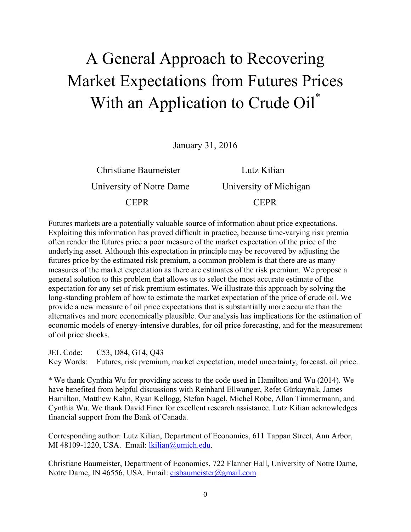# A General Approach to Recovering Market Expectations from Futures Prices With an Application to Crude Oil\*

January 31, 2016

 Christiane Baumeister Lutz Kilian University of Notre Dame University of Michigan CEPR CEPR

Futures markets are a potentially valuable source of information about price expectations. Exploiting this information has proved difficult in practice, because time-varying risk premia often render the futures price a poor measure of the market expectation of the price of the underlying asset. Although this expectation in principle may be recovered by adjusting the futures price by the estimated risk premium, a common problem is that there are as many measures of the market expectation as there are estimates of the risk premium. We propose a general solution to this problem that allows us to select the most accurate estimate of the expectation for any set of risk premium estimates. We illustrate this approach by solving the long-standing problem of how to estimate the market expectation of the price of crude oil. We provide a new measure of oil price expectations that is substantially more accurate than the alternatives and more economically plausible. Our analysis has implications for the estimation of economic models of energy-intensive durables, for oil price forecasting, and for the measurement of oil price shocks.

JEL Code: C53, D84, G14, Q43

Key Words: Futures, risk premium, market expectation, model uncertainty, forecast, oil price.

\* We thank Cynthia Wu for providing access to the code used in Hamilton and Wu (2014). We have benefited from helpful discussions with Reinhard Ellwanger, Refet Gürkaynak, James Hamilton, Matthew Kahn, Ryan Kellogg, Stefan Nagel, Michel Robe, Allan Timmermann, and Cynthia Wu. We thank David Finer for excellent research assistance. Lutz Kilian acknowledges financial support from the Bank of Canada.

Corresponding author: Lutz Kilian, Department of Economics, 611 Tappan Street, Ann Arbor, MI 48109-1220, USA. Email: lkilian@umich.edu.

Christiane Baumeister, Department of Economics, 722 Flanner Hall, University of Notre Dame, Notre Dame, IN 46556, USA. Email: cjsbaumeister@gmail.com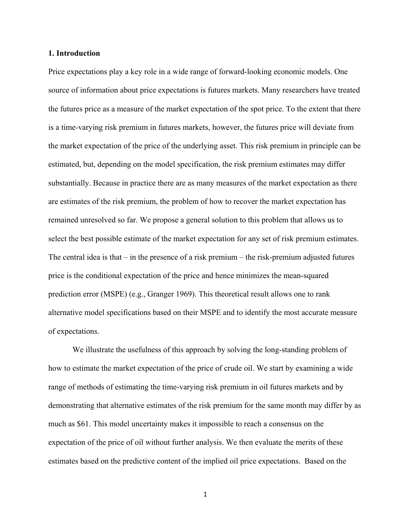### **1. Introduction**

Price expectations play a key role in a wide range of forward-looking economic models. One source of information about price expectations is futures markets. Many researchers have treated the futures price as a measure of the market expectation of the spot price. To the extent that there is a time-varying risk premium in futures markets, however, the futures price will deviate from the market expectation of the price of the underlying asset. This risk premium in principle can be estimated, but, depending on the model specification, the risk premium estimates may differ substantially. Because in practice there are as many measures of the market expectation as there are estimates of the risk premium, the problem of how to recover the market expectation has remained unresolved so far. We propose a general solution to this problem that allows us to select the best possible estimate of the market expectation for any set of risk premium estimates. The central idea is that  $-$  in the presence of a risk premium  $-$  the risk-premium adjusted futures price is the conditional expectation of the price and hence minimizes the mean-squared prediction error (MSPE) (e.g., Granger 1969). This theoretical result allows one to rank alternative model specifications based on their MSPE and to identify the most accurate measure of expectations.

We illustrate the usefulness of this approach by solving the long-standing problem of how to estimate the market expectation of the price of crude oil. We start by examining a wide range of methods of estimating the time-varying risk premium in oil futures markets and by demonstrating that alternative estimates of the risk premium for the same month may differ by as much as \$61. This model uncertainty makes it impossible to reach a consensus on the expectation of the price of oil without further analysis. We then evaluate the merits of these estimates based on the predictive content of the implied oil price expectations. Based on the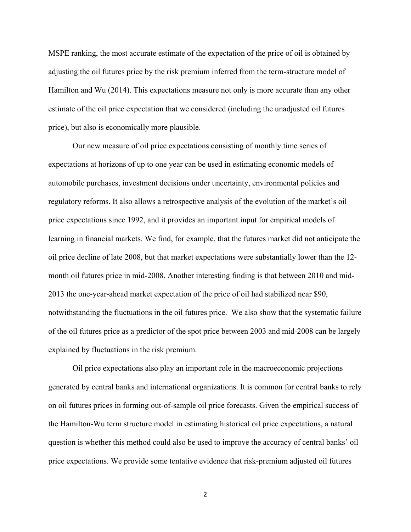MSPE ranking, the most accurate estimate of the expectation of the price of oil is obtained by adjusting the oil futures price by the risk premium inferred from the term-structure model of Hamilton and Wu (2014). This expectations measure not only is more accurate than any other estimate of the oil price expectation that we considered (including the unadjusted oil futures price), but also is economically more plausible.

Our new measure of oil price expectations consisting of monthly time series of expectations at horizons of up to one year can be used in estimating economic models of automobile purchases, investment decisions under uncertainty, environmental policies and regulatory reforms. It also allows a retrospective analysis of the evolution of the market's oil price expectations since 1992, and it provides an important input for empirical models of learning in financial markets. We find, for example, that the futures market did not anticipate the oil price decline of late 2008, but that market expectations were substantially lower than the 12 month oil futures price in mid-2008. Another interesting finding is that between 2010 and mid-2013 the one-year-ahead market expectation of the price of oil had stabilized near \$90, notwithstanding the fluctuations in the oil futures price. We also show that the systematic failure of the oil futures price as a predictor of the spot price between 2003 and mid-2008 can be largely explained by fluctuations in the risk premium.

Oil price expectations also play an important role in the macroeconomic projections generated by central banks and international organizations. It is common for central banks to rely on oil futures prices in forming out-of-sample oil price forecasts. Given the empirical success of the Hamilton-Wu term structure model in estimating historical oil price expectations, a natural question is whether this method could also be used to improve the accuracy of central banks' oil price expectations. We provide some tentative evidence that risk-premium adjusted oil futures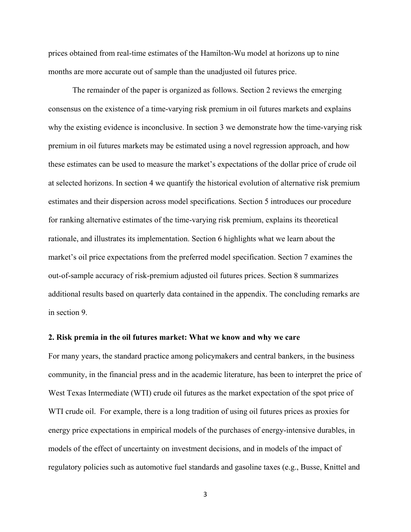prices obtained from real-time estimates of the Hamilton-Wu model at horizons up to nine months are more accurate out of sample than the unadjusted oil futures price.

The remainder of the paper is organized as follows. Section 2 reviews the emerging consensus on the existence of a time-varying risk premium in oil futures markets and explains why the existing evidence is inconclusive. In section 3 we demonstrate how the time-varying risk premium in oil futures markets may be estimated using a novel regression approach, and how these estimates can be used to measure the market's expectations of the dollar price of crude oil at selected horizons. In section 4 we quantify the historical evolution of alternative risk premium estimates and their dispersion across model specifications. Section 5 introduces our procedure for ranking alternative estimates of the time-varying risk premium, explains its theoretical rationale, and illustrates its implementation. Section 6 highlights what we learn about the market's oil price expectations from the preferred model specification. Section 7 examines the out-of-sample accuracy of risk-premium adjusted oil futures prices. Section 8 summarizes additional results based on quarterly data contained in the appendix. The concluding remarks are in section 9.

# **2. Risk premia in the oil futures market: What we know and why we care**

For many years, the standard practice among policymakers and central bankers, in the business community, in the financial press and in the academic literature, has been to interpret the price of West Texas Intermediate (WTI) crude oil futures as the market expectation of the spot price of WTI crude oil. For example, there is a long tradition of using oil futures prices as proxies for energy price expectations in empirical models of the purchases of energy-intensive durables, in models of the effect of uncertainty on investment decisions, and in models of the impact of regulatory policies such as automotive fuel standards and gasoline taxes (e.g., Busse, Knittel and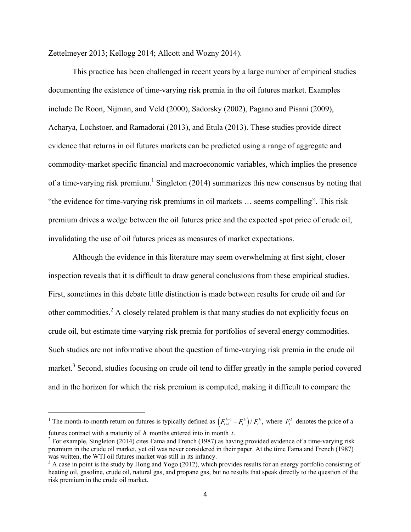Zettelmeyer 2013; Kellogg 2014; Allcott and Wozny 2014).

 This practice has been challenged in recent years by a large number of empirical studies documenting the existence of time-varying risk premia in the oil futures market. Examples include De Roon, Nijman, and Veld (2000), Sadorsky (2002), Pagano and Pisani (2009), Acharya, Lochstoer, and Ramadorai (2013), and Etula (2013). These studies provide direct evidence that returns in oil futures markets can be predicted using a range of aggregate and commodity-market specific financial and macroeconomic variables, which implies the presence of a time-varying risk premium.<sup>1</sup> Singleton (2014) summarizes this new consensus by noting that "the evidence for time-varying risk premiums in oil markets … seems compelling". This risk premium drives a wedge between the oil futures price and the expected spot price of crude oil, invalidating the use of oil futures prices as measures of market expectations.

 Although the evidence in this literature may seem overwhelming at first sight, closer inspection reveals that it is difficult to draw general conclusions from these empirical studies. First, sometimes in this debate little distinction is made between results for crude oil and for other commodities.<sup>2</sup> A closely related problem is that many studies do not explicitly focus on crude oil, but estimate time-varying risk premia for portfolios of several energy commodities. Such studies are not informative about the question of time-varying risk premia in the crude oil market.<sup>3</sup> Second, studies focusing on crude oil tend to differ greatly in the sample period covered and in the horizon for which the risk premium is computed, making it difficult to compare the

<sup>&</sup>lt;sup>1</sup> The month-to-month return on futures is typically defined as  $(F_{t+1}^{h-1} - F_t^h)/F_t^h$ , where  $F_t^h$  denotes the price of a futures contract with a maturity of *h* months entered into in month *t*.

<sup>&</sup>lt;sup>2</sup> For example, Singleton (2014) cites Fama and French (1987) as having provided evidence of a time-varying risk premium in the crude oil market, yet oil was never considered in their paper. At the time Fama and French (1987) was written, the WTI oil futures market was still in its infancy.

 $3$  A case in point is the study by Hong and Yogo (2012), which provides results for an energy portfolio consisting of heating oil, gasoline, crude oil, natural gas, and propane gas, but no results that speak directly to the question of the risk premium in the crude oil market.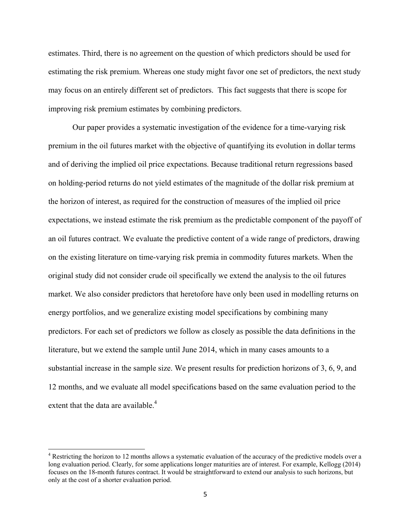estimates. Third, there is no agreement on the question of which predictors should be used for estimating the risk premium. Whereas one study might favor one set of predictors, the next study may focus on an entirely different set of predictors. This fact suggests that there is scope for improving risk premium estimates by combining predictors.

Our paper provides a systematic investigation of the evidence for a time-varying risk premium in the oil futures market with the objective of quantifying its evolution in dollar terms and of deriving the implied oil price expectations. Because traditional return regressions based on holding-period returns do not yield estimates of the magnitude of the dollar risk premium at the horizon of interest, as required for the construction of measures of the implied oil price expectations, we instead estimate the risk premium as the predictable component of the payoff of an oil futures contract. We evaluate the predictive content of a wide range of predictors, drawing on the existing literature on time-varying risk premia in commodity futures markets. When the original study did not consider crude oil specifically we extend the analysis to the oil futures market. We also consider predictors that heretofore have only been used in modelling returns on energy portfolios, and we generalize existing model specifications by combining many predictors. For each set of predictors we follow as closely as possible the data definitions in the literature, but we extend the sample until June 2014, which in many cases amounts to a substantial increase in the sample size. We present results for prediction horizons of 3, 6, 9, and 12 months, and we evaluate all model specifications based on the same evaluation period to the extent that the data are available. $4$ 

 $4$  Restricting the horizon to 12 months allows a systematic evaluation of the accuracy of the predictive models over a long evaluation period. Clearly, for some applications longer maturities are of interest. For example, Kellogg (2014) focuses on the 18-month futures contract. It would be straightforward to extend our analysis to such horizons, but only at the cost of a shorter evaluation period.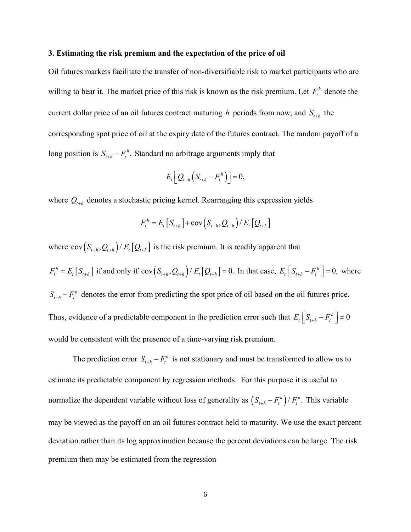#### **3. Estimating the risk premium and the expectation of the price of oil**

Oil futures markets facilitate the transfer of non-diversifiable risk to market participants who are willing to bear it. The market price of this risk is known as the risk premium. Let  $F_t^h$  denote the current dollar price of an oil futures contract maturing *h* periods from now, and  $S_{t+h}$  the corresponding spot price of oil at the expiry date of the futures contract. The random payoff of a long position is  $S_{t+h} - F_t^h$ . Standard no arbitrage arguments imply that

$$
E_t\bigg[Q_{t+h}\bigg(S_{t+h}-F_t^h\bigg)\bigg]=0,
$$

where  $Q_{t+h}$  denotes a stochastic pricing kernel. Rearranging this expression yields

$$
F_t^h = E_t [S_{t+h}] + \text{cov}(S_{t+h}, Q_{t+h}) / E_t [Q_{t+h}]
$$

where  $cov(S_{t+h}, Q_{t+h})/E_t[Q_{t+h}]$  is the risk premium. It is readily apparent that  $F_t^h = E_t[S_{t+h}]$  if and only if  $cov(S_{t+h}, Q_{t+h})/E_t[Q_{t+h}] = 0$ . In that case,  $E_t[S_{t+h} - F_t^h] = 0$ , where  $S_{t+h} - F_t^h$  denotes the error from predicting the spot price of oil based on the oil futures price. Thus, evidence of a predictable component in the prediction error such that  $E_t \left[ S_{t+h} - F_t^h \right] \neq 0$ would be consistent with the presence of a time-varying risk premium.

The prediction error  $S_{t+h} - F_t^h$  is not stationary and must be transformed to allow us to estimate its predictable component by regression methods. For this purpose it is useful to normalize the dependent variable without loss of generality as  $(S_{t+h} - F_t^h) / F_t^h$ . This variable may be viewed as the payoff on an oil futures contract held to maturity. We use the exact percent deviation rather than its log approximation because the percent deviations can be large. The risk premium then may be estimated from the regression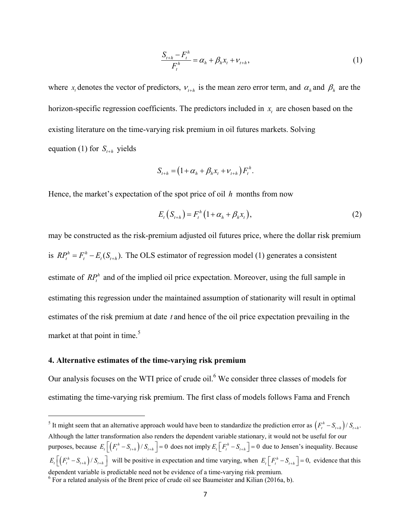$$
\frac{S_{t+h} - F_t^h}{F_t^h} = \alpha_h + \beta_h x_t + \nu_{t+h},
$$
\n(1)

where  $x_t$  denotes the vector of predictors,  $v_{t+h}$  is the mean zero error term, and  $\alpha_h$  and  $\beta_h$  are the horizon-specific regression coefficients. The predictors included in  $x<sub>i</sub>$  are chosen based on the existing literature on the time-varying risk premium in oil futures markets. Solving equation (1) for  $S_{t+h}$  yields

$$
S_{t+h} = (1 + \alpha_h + \beta_h x_t + v_{t+h}) F_t^h.
$$

Hence, the market's expectation of the spot price of oil *h* months from now

$$
E_t(S_{t+h}) = F_t^h \left(1 + \alpha_h + \beta_h x_t\right),\tag{2}
$$

may be constructed as the risk-premium adjusted oil futures price, where the dollar risk premium is  $RP_t^h = F_t^h - E_t(S_{t+h})$ . The OLS estimator of regression model (1) generates a consistent estimate of  $RP_t^h$  and of the implied oil price expectation. Moreover, using the full sample in estimating this regression under the maintained assumption of stationarity will result in optimal estimates of the risk premium at date *t* and hence of the oil price expectation prevailing in the market at that point in time.<sup>5</sup>

#### **4. Alternative estimates of the time-varying risk premium**

Our analysis focuses on the WTI price of crude oil. $<sup>6</sup>$  We consider three classes of models for</sup> estimating the time-varying risk premium. The first class of models follows Fama and French

<sup>&</sup>lt;sup>5</sup> It might seem that an alternative approach would have been to standardize the prediction error as  $(F_t^h - S_{t+h})/S_{t+h}$ . Although the latter transformation also renders the dependent variable stationary, it would not be useful for our purposes, because  $E_t\left[\left(F_t^h - S_{t+h}\right)/S_{t+h}\right] = 0$  does not imply  $E_t\left[F_t^h - S_{t+h}\right] = 0$  due to Jensen's inequality. Because  $E_{t} \left[ \left( F_{t}^{h} - S_{t+h} \right) / S_{t+h} \right]$  will be positive in expectation and time varying, when  $E_{t} \left[ F_{t}^{h} - S_{t+h} \right] = 0$ , evidence that this dependent variable is predictable need not be evidence of a time-varying risk premium.

 $6$  For a related analysis of the Brent price of crude oil see Baumeister and Kilian (2016a, b).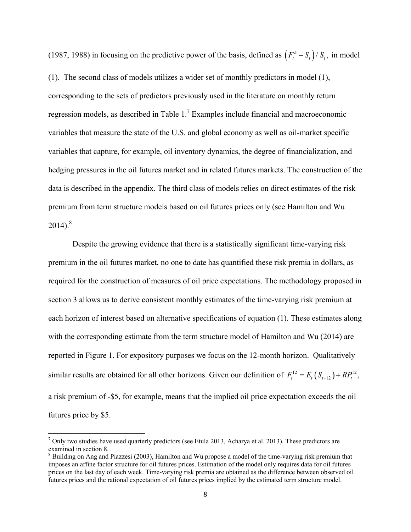(1987, 1988) in focusing on the predictive power of the basis, defined as  $(F_t^h - S_t)/S_t$ , in model (1). The second class of models utilizes a wider set of monthly predictors in model (1),

corresponding to the sets of predictors previously used in the literature on monthly return regression models, as described in Table  $1<sup>7</sup>$  Examples include financial and macroeconomic variables that measure the state of the U.S. and global economy as well as oil-market specific variables that capture, for example, oil inventory dynamics, the degree of financialization, and hedging pressures in the oil futures market and in related futures markets. The construction of the data is described in the appendix. The third class of models relies on direct estimates of the risk premium from term structure models based on oil futures prices only (see Hamilton and Wu  $2014$ ).<sup>8</sup>

Despite the growing evidence that there is a statistically significant time-varying risk premium in the oil futures market, no one to date has quantified these risk premia in dollars, as required for the construction of measures of oil price expectations. The methodology proposed in section 3 allows us to derive consistent monthly estimates of the time-varying risk premium at each horizon of interest based on alternative specifications of equation (1). These estimates along with the corresponding estimate from the term structure model of Hamilton and Wu (2014) are reported in Figure 1. For expository purposes we focus on the 12-month horizon. Qualitatively similar results are obtained for all other horizons. Given our definition of  $F_t^{12} = E_t(S_{t+12}) + RP_t^{12}$ , a risk premium of -\$5, for example, means that the implied oil price expectation exceeds the oil futures price by \$5.

 $^7$  Only two studies have used quarterly predictors (see Etula 2013, Acharya et al. 2013). These predictors are examined in section 8.

<sup>&</sup>lt;sup>8</sup> Building on Ang and Piazzesi (2003), Hamilton and Wu propose a model of the time-varying risk premium that imposes an affine factor structure for oil futures prices. Estimation of the model only requires data for oil futures prices on the last day of each week. Time-varying risk premia are obtained as the difference between observed oil futures prices and the rational expectation of oil futures prices implied by the estimated term structure model.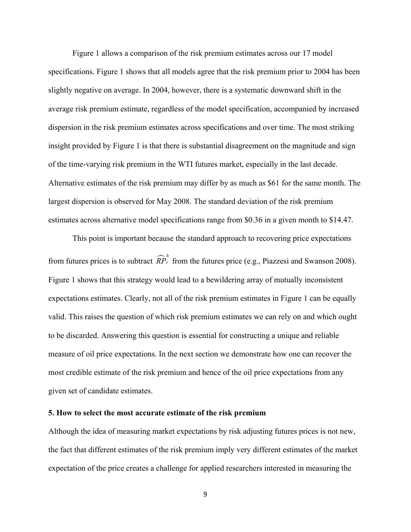Figure 1 allows a comparison of the risk premium estimates across our 17 model specifications. Figure 1 shows that all models agree that the risk premium prior to 2004 has been slightly negative on average. In 2004, however, there is a systematic downward shift in the average risk premium estimate, regardless of the model specification, accompanied by increased dispersion in the risk premium estimates across specifications and over time. The most striking insight provided by Figure 1 is that there is substantial disagreement on the magnitude and sign of the time-varying risk premium in the WTI futures market, especially in the last decade. Alternative estimates of the risk premium may differ by as much as \$61 for the same month. The largest dispersion is observed for May 2008. The standard deviation of the risk premium estimates across alternative model specifications range from \$0.36 in a given month to \$14.47.

This point is important because the standard approach to recovering price expectations from futures prices is to subtract  $\widehat{RP}_t^h$  from the futures price (e.g., Piazzesi and Swanson 2008). Figure 1 shows that this strategy would lead to a bewildering array of mutually inconsistent expectations estimates. Clearly, not all of the risk premium estimates in Figure 1 can be equally valid. This raises the question of which risk premium estimates we can rely on and which ought to be discarded. Answering this question is essential for constructing a unique and reliable measure of oil price expectations. In the next section we demonstrate how one can recover the most credible estimate of the risk premium and hence of the oil price expectations from any given set of candidate estimates.

### **5. How to select the most accurate estimate of the risk premium**

Although the idea of measuring market expectations by risk adjusting futures prices is not new, the fact that different estimates of the risk premium imply very different estimates of the market expectation of the price creates a challenge for applied researchers interested in measuring the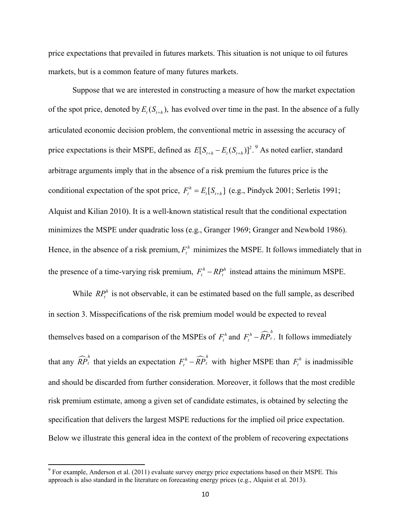price expectations that prevailed in futures markets. This situation is not unique to oil futures markets, but is a common feature of many futures markets.

 Suppose that we are interested in constructing a measure of how the market expectation of the spot price, denoted by  $E_t(S_{t+h})$ , has evolved over time in the past. In the absence of a fully articulated economic decision problem, the conventional metric in assessing the accuracy of price expectations is their MSPE, defined as  $E[S_{t+h} - E_t(S_{t+h})]^2$ .<sup>9</sup> As noted earlier, standard arbitrage arguments imply that in the absence of a risk premium the futures price is the conditional expectation of the spot price,  $F_t^h = E_t[S_{t+h}]$  (e.g., Pindyck 2001; Serletis 1991; Alquist and Kilian 2010). It is a well-known statistical result that the conditional expectation minimizes the MSPE under quadratic loss (e.g., Granger 1969; Granger and Newbold 1986). Hence, in the absence of a risk premium,  $F_t^h$  minimizes the MSPE. It follows immediately that in the presence of a time-varying risk premium,  $F_t^h - RP_t^h$  instead attains the minimum MSPE.

While  $RP_t^h$  is not observable, it can be estimated based on the full sample, as described in section 3. Misspecifications of the risk premium model would be expected to reveal themselves based on a comparison of the MSPEs of  $F_t^h$  and  $F_t^h - \widehat{RP}_t^h$ . It follows immediately that any  $\widehat{RP}_t^h$  that yields an expectation  $F_t^h - \widehat{RP}_t^h$  with higher MSPE than  $F_t^h$  is inadmissible and should be discarded from further consideration. Moreover, it follows that the most credible risk premium estimate, among a given set of candidate estimates, is obtained by selecting the specification that delivers the largest MSPE reductions for the implied oil price expectation. Below we illustrate this general idea in the context of the problem of recovering expectations

 $9^9$  For example, Anderson et al. (2011) evaluate survey energy price expectations based on their MSPE. This approach is also standard in the literature on forecasting energy prices (e.g., Alquist et al. 2013).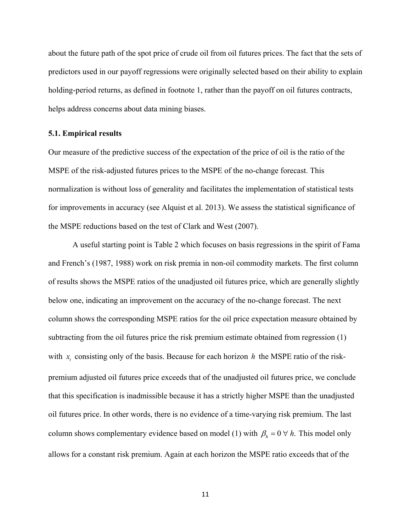about the future path of the spot price of crude oil from oil futures prices. The fact that the sets of predictors used in our payoff regressions were originally selected based on their ability to explain holding-period returns, as defined in footnote 1, rather than the payoff on oil futures contracts, helps address concerns about data mining biases.

# **5.1. Empirical results**

Our measure of the predictive success of the expectation of the price of oil is the ratio of the MSPE of the risk-adjusted futures prices to the MSPE of the no-change forecast. This normalization is without loss of generality and facilitates the implementation of statistical tests for improvements in accuracy (see Alquist et al. 2013). We assess the statistical significance of the MSPE reductions based on the test of Clark and West (2007).

 A useful starting point is Table 2 which focuses on basis regressions in the spirit of Fama and French's (1987, 1988) work on risk premia in non-oil commodity markets. The first column of results shows the MSPE ratios of the unadjusted oil futures price, which are generally slightly below one, indicating an improvement on the accuracy of the no-change forecast. The next column shows the corresponding MSPE ratios for the oil price expectation measure obtained by subtracting from the oil futures price the risk premium estimate obtained from regression (1) with  $x$ , consisting only of the basis. Because for each horizon  $h$  the MSPE ratio of the riskpremium adjusted oil futures price exceeds that of the unadjusted oil futures price, we conclude that this specification is inadmissible because it has a strictly higher MSPE than the unadjusted oil futures price. In other words, there is no evidence of a time-varying risk premium. The last column shows complementary evidence based on model (1) with  $\beta_h = 0 \forall h$ . This model only allows for a constant risk premium. Again at each horizon the MSPE ratio exceeds that of the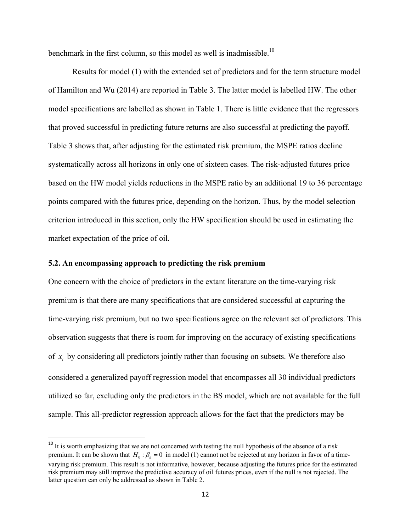benchmark in the first column, so this model as well is inadmissible.<sup>10</sup>

 Results for model (1) with the extended set of predictors and for the term structure model of Hamilton and Wu (2014) are reported in Table 3. The latter model is labelled HW. The other model specifications are labelled as shown in Table 1. There is little evidence that the regressors that proved successful in predicting future returns are also successful at predicting the payoff. Table 3 shows that, after adjusting for the estimated risk premium, the MSPE ratios decline systematically across all horizons in only one of sixteen cases. The risk-adjusted futures price based on the HW model yields reductions in the MSPE ratio by an additional 19 to 36 percentage points compared with the futures price, depending on the horizon. Thus, by the model selection criterion introduced in this section, only the HW specification should be used in estimating the market expectation of the price of oil.

# **5.2. An encompassing approach to predicting the risk premium**

One concern with the choice of predictors in the extant literature on the time-varying risk premium is that there are many specifications that are considered successful at capturing the time-varying risk premium, but no two specifications agree on the relevant set of predictors. This observation suggests that there is room for improving on the accuracy of existing specifications of *<sup>t</sup> x* by considering all predictors jointly rather than focusing on subsets. We therefore also considered a generalized payoff regression model that encompasses all 30 individual predictors utilized so far, excluding only the predictors in the BS model, which are not available for the full sample. This all-predictor regression approach allows for the fact that the predictors may be

<sup>&</sup>lt;sup>10</sup> It is worth emphasizing that we are not concerned with testing the null hypothesis of the absence of a risk premium. It can be shown that  $H_0 : \beta_k = 0$  in model (1) cannot not be rejected at any horizon in favor of a timevarying risk premium. This result is not informative, however, because adjusting the futures price for the estimated risk premium may still improve the predictive accuracy of oil futures prices, even if the null is not rejected. The latter question can only be addressed as shown in Table 2.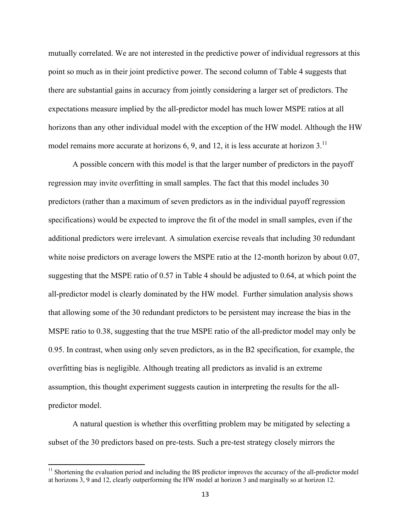mutually correlated. We are not interested in the predictive power of individual regressors at this point so much as in their joint predictive power. The second column of Table 4 suggests that there are substantial gains in accuracy from jointly considering a larger set of predictors. The expectations measure implied by the all-predictor model has much lower MSPE ratios at all horizons than any other individual model with the exception of the HW model. Although the HW model remains more accurate at horizons  $6, 9$ , and 12, it is less accurate at horizon  $3$ .<sup>11</sup>

A possible concern with this model is that the larger number of predictors in the payoff regression may invite overfitting in small samples. The fact that this model includes 30 predictors (rather than a maximum of seven predictors as in the individual payoff regression specifications) would be expected to improve the fit of the model in small samples, even if the additional predictors were irrelevant. A simulation exercise reveals that including 30 redundant white noise predictors on average lowers the MSPE ratio at the 12-month horizon by about 0.07, suggesting that the MSPE ratio of 0.57 in Table 4 should be adjusted to 0.64, at which point the all-predictor model is clearly dominated by the HW model. Further simulation analysis shows that allowing some of the 30 redundant predictors to be persistent may increase the bias in the MSPE ratio to 0.38, suggesting that the true MSPE ratio of the all-predictor model may only be 0.95. In contrast, when using only seven predictors, as in the B2 specification, for example, the overfitting bias is negligible. Although treating all predictors as invalid is an extreme assumption, this thought experiment suggests caution in interpreting the results for the allpredictor model.

A natural question is whether this overfitting problem may be mitigated by selecting a subset of the 30 predictors based on pre-tests. Such a pre-test strategy closely mirrors the

<sup>&</sup>lt;sup>11</sup> Shortening the evaluation period and including the BS predictor improves the accuracy of the all-predictor model at horizons 3, 9 and 12, clearly outperforming the HW model at horizon 3 and marginally so at horizon 12.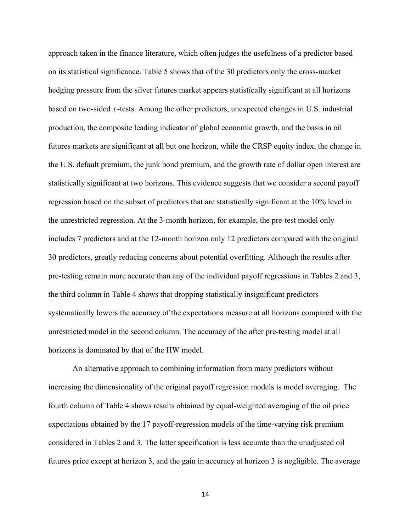approach taken in the finance literature, which often judges the usefulness of a predictor based on its statistical significance. Table 5 shows that of the 30 predictors only the cross-market hedging pressure from the silver futures market appears statistically significant at all horizons based on two-sided *t* -tests. Among the other predictors, unexpected changes in U.S. industrial production, the composite leading indicator of global economic growth, and the basis in oil futures markets are significant at all but one horizon, while the CRSP equity index, the change in the U.S. default premium, the junk bond premium, and the growth rate of dollar open interest are statistically significant at two horizons. This evidence suggests that we consider a second payoff regression based on the subset of predictors that are statistically significant at the 10% level in the unrestricted regression. At the 3-month horizon, for example, the pre-test model only includes 7 predictors and at the 12-month horizon only 12 predictors compared with the original 30 predictors, greatly reducing concerns about potential overfitting. Although the results after pre-testing remain more accurate than any of the individual payoff regressions in Tables 2 and 3, the third column in Table 4 shows that dropping statistically insignificant predictors systematically lowers the accuracy of the expectations measure at all horizons compared with the unrestricted model in the second column. The accuracy of the after pre-testing model at all horizons is dominated by that of the HW model.

An alternative approach to combining information from many predictors without increasing the dimensionality of the original payoff regression models is model averaging. The fourth column of Table 4 shows results obtained by equal-weighted averaging of the oil price expectations obtained by the 17 payoff-regression models of the time-varying risk premium considered in Tables 2 and 3. The latter specification is less accurate than the unadjusted oil futures price except at horizon 3, and the gain in accuracy at horizon 3 is negligible. The average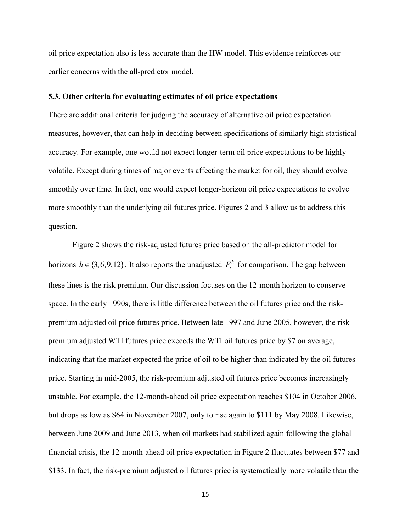oil price expectation also is less accurate than the HW model. This evidence reinforces our earlier concerns with the all-predictor model.

# **5.3. Other criteria for evaluating estimates of oil price expectations**

There are additional criteria for judging the accuracy of alternative oil price expectation measures, however, that can help in deciding between specifications of similarly high statistical accuracy. For example, one would not expect longer-term oil price expectations to be highly volatile. Except during times of major events affecting the market for oil, they should evolve smoothly over time. In fact, one would expect longer-horizon oil price expectations to evolve more smoothly than the underlying oil futures price. Figures 2 and 3 allow us to address this question.

Figure 2 shows the risk-adjusted futures price based on the all-predictor model for horizons  $h \in \{3,6,9,12\}$ . It also reports the unadjusted  $F_t^h$  for comparison. The gap between these lines is the risk premium. Our discussion focuses on the 12-month horizon to conserve space. In the early 1990s, there is little difference between the oil futures price and the riskpremium adjusted oil price futures price. Between late 1997 and June 2005, however, the riskpremium adjusted WTI futures price exceeds the WTI oil futures price by \$7 on average, indicating that the market expected the price of oil to be higher than indicated by the oil futures price. Starting in mid-2005, the risk-premium adjusted oil futures price becomes increasingly unstable. For example, the 12-month-ahead oil price expectation reaches \$104 in October 2006, but drops as low as \$64 in November 2007, only to rise again to \$111 by May 2008. Likewise, between June 2009 and June 2013, when oil markets had stabilized again following the global financial crisis, the 12-month-ahead oil price expectation in Figure 2 fluctuates between \$77 and \$133. In fact, the risk-premium adjusted oil futures price is systematically more volatile than the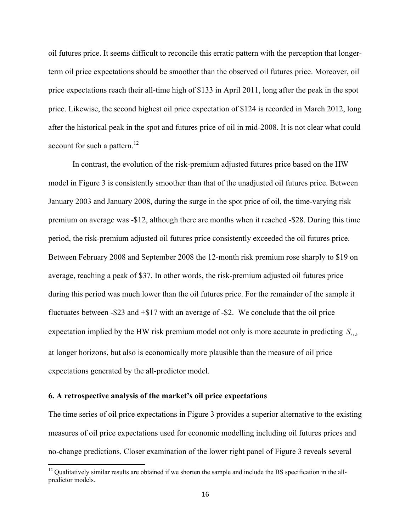oil futures price. It seems difficult to reconcile this erratic pattern with the perception that longerterm oil price expectations should be smoother than the observed oil futures price. Moreover, oil price expectations reach their all-time high of \$133 in April 2011, long after the peak in the spot price. Likewise, the second highest oil price expectation of \$124 is recorded in March 2012, long after the historical peak in the spot and futures price of oil in mid-2008. It is not clear what could account for such a pattern.<sup>12</sup>

 In contrast, the evolution of the risk-premium adjusted futures price based on the HW model in Figure 3 is consistently smoother than that of the unadjusted oil futures price. Between January 2003 and January 2008, during the surge in the spot price of oil, the time-varying risk premium on average was -\$12, although there are months when it reached -\$28. During this time period, the risk-premium adjusted oil futures price consistently exceeded the oil futures price. Between February 2008 and September 2008 the 12-month risk premium rose sharply to \$19 on average, reaching a peak of \$37. In other words, the risk-premium adjusted oil futures price during this period was much lower than the oil futures price. For the remainder of the sample it fluctuates between -\$23 and +\$17 with an average of -\$2. We conclude that the oil price expectation implied by the HW risk premium model not only is more accurate in predicting  $S_{n+h}$ at longer horizons, but also is economically more plausible than the measure of oil price expectations generated by the all-predictor model.

### **6. A retrospective analysis of the market's oil price expectations**

The time series of oil price expectations in Figure 3 provides a superior alternative to the existing measures of oil price expectations used for economic modelling including oil futures prices and no-change predictions. Closer examination of the lower right panel of Figure 3 reveals several

 $12$  Qualitatively similar results are obtained if we shorten the sample and include the BS specification in the allpredictor models.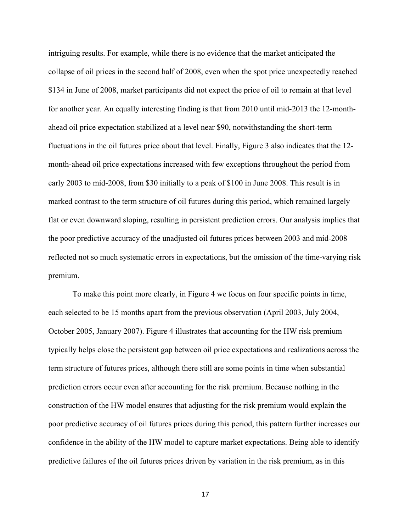intriguing results. For example, while there is no evidence that the market anticipated the collapse of oil prices in the second half of 2008, even when the spot price unexpectedly reached \$134 in June of 2008, market participants did not expect the price of oil to remain at that level for another year. An equally interesting finding is that from 2010 until mid-2013 the 12-monthahead oil price expectation stabilized at a level near \$90, notwithstanding the short-term fluctuations in the oil futures price about that level. Finally, Figure 3 also indicates that the 12 month-ahead oil price expectations increased with few exceptions throughout the period from early 2003 to mid-2008, from \$30 initially to a peak of \$100 in June 2008. This result is in marked contrast to the term structure of oil futures during this period, which remained largely flat or even downward sloping, resulting in persistent prediction errors. Our analysis implies that the poor predictive accuracy of the unadjusted oil futures prices between 2003 and mid-2008 reflected not so much systematic errors in expectations, but the omission of the time-varying risk premium.

To make this point more clearly, in Figure 4 we focus on four specific points in time, each selected to be 15 months apart from the previous observation (April 2003, July 2004, October 2005, January 2007). Figure 4 illustrates that accounting for the HW risk premium typically helps close the persistent gap between oil price expectations and realizations across the term structure of futures prices, although there still are some points in time when substantial prediction errors occur even after accounting for the risk premium. Because nothing in the construction of the HW model ensures that adjusting for the risk premium would explain the poor predictive accuracy of oil futures prices during this period, this pattern further increases our confidence in the ability of the HW model to capture market expectations. Being able to identify predictive failures of the oil futures prices driven by variation in the risk premium, as in this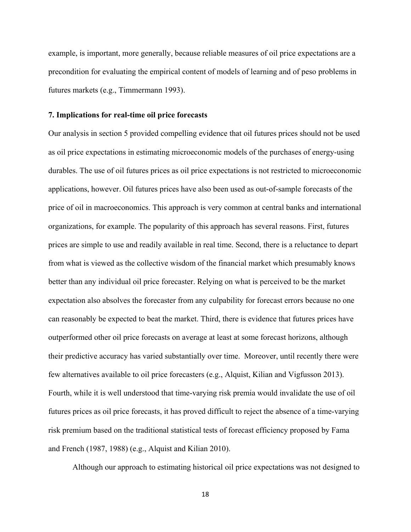example, is important, more generally, because reliable measures of oil price expectations are a precondition for evaluating the empirical content of models of learning and of peso problems in futures markets (e.g., Timmermann 1993).

# **7. Implications for real-time oil price forecasts**

Our analysis in section 5 provided compelling evidence that oil futures prices should not be used as oil price expectations in estimating microeconomic models of the purchases of energy-using durables. The use of oil futures prices as oil price expectations is not restricted to microeconomic applications, however. Oil futures prices have also been used as out-of-sample forecasts of the price of oil in macroeconomics. This approach is very common at central banks and international organizations, for example. The popularity of this approach has several reasons. First, futures prices are simple to use and readily available in real time. Second, there is a reluctance to depart from what is viewed as the collective wisdom of the financial market which presumably knows better than any individual oil price forecaster. Relying on what is perceived to be the market expectation also absolves the forecaster from any culpability for forecast errors because no one can reasonably be expected to beat the market. Third, there is evidence that futures prices have outperformed other oil price forecasts on average at least at some forecast horizons, although their predictive accuracy has varied substantially over time. Moreover, until recently there were few alternatives available to oil price forecasters (e.g., Alquist, Kilian and Vigfusson 2013). Fourth, while it is well understood that time-varying risk premia would invalidate the use of oil futures prices as oil price forecasts, it has proved difficult to reject the absence of a time-varying risk premium based on the traditional statistical tests of forecast efficiency proposed by Fama and French (1987, 1988) (e.g., Alquist and Kilian 2010).

Although our approach to estimating historical oil price expectations was not designed to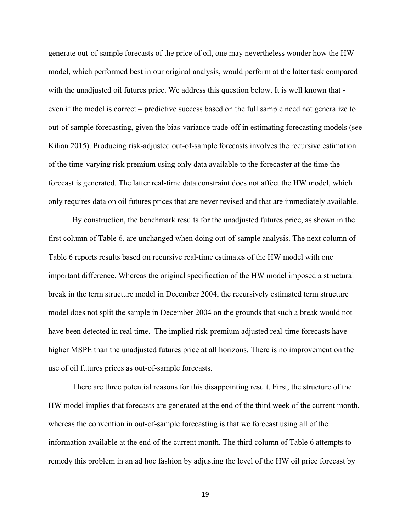generate out-of-sample forecasts of the price of oil, one may nevertheless wonder how the HW model, which performed best in our original analysis, would perform at the latter task compared with the unadjusted oil futures price. We address this question below. It is well known that even if the model is correct – predictive success based on the full sample need not generalize to out-of-sample forecasting, given the bias-variance trade-off in estimating forecasting models (see Kilian 2015). Producing risk-adjusted out-of-sample forecasts involves the recursive estimation of the time-varying risk premium using only data available to the forecaster at the time the forecast is generated. The latter real-time data constraint does not affect the HW model, which only requires data on oil futures prices that are never revised and that are immediately available.

 By construction, the benchmark results for the unadjusted futures price, as shown in the first column of Table 6, are unchanged when doing out-of-sample analysis. The next column of Table 6 reports results based on recursive real-time estimates of the HW model with one important difference. Whereas the original specification of the HW model imposed a structural break in the term structure model in December 2004, the recursively estimated term structure model does not split the sample in December 2004 on the grounds that such a break would not have been detected in real time. The implied risk-premium adjusted real-time forecasts have higher MSPE than the unadjusted futures price at all horizons. There is no improvement on the use of oil futures prices as out-of-sample forecasts.

There are three potential reasons for this disappointing result. First, the structure of the HW model implies that forecasts are generated at the end of the third week of the current month, whereas the convention in out-of-sample forecasting is that we forecast using all of the information available at the end of the current month. The third column of Table 6 attempts to remedy this problem in an ad hoc fashion by adjusting the level of the HW oil price forecast by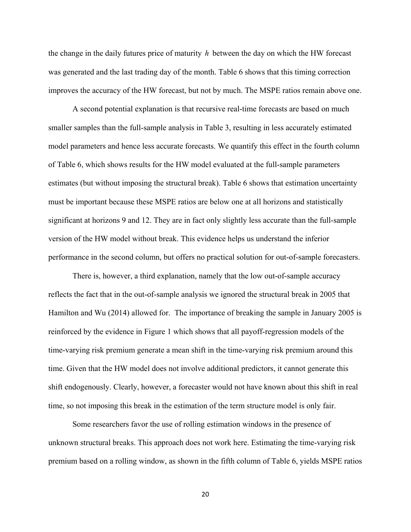the change in the daily futures price of maturity *h* between the day on which the HW forecast was generated and the last trading day of the month. Table 6 shows that this timing correction improves the accuracy of the HW forecast, but not by much. The MSPE ratios remain above one.

 A second potential explanation is that recursive real-time forecasts are based on much smaller samples than the full-sample analysis in Table 3, resulting in less accurately estimated model parameters and hence less accurate forecasts. We quantify this effect in the fourth column of Table 6, which shows results for the HW model evaluated at the full-sample parameters estimates (but without imposing the structural break). Table 6 shows that estimation uncertainty must be important because these MSPE ratios are below one at all horizons and statistically significant at horizons 9 and 12. They are in fact only slightly less accurate than the full-sample version of the HW model without break. This evidence helps us understand the inferior performance in the second column, but offers no practical solution for out-of-sample forecasters.

There is, however, a third explanation, namely that the low out-of-sample accuracy reflects the fact that in the out-of-sample analysis we ignored the structural break in 2005 that Hamilton and Wu (2014) allowed for. The importance of breaking the sample in January 2005 is reinforced by the evidence in Figure 1 which shows that all payoff-regression models of the time-varying risk premium generate a mean shift in the time-varying risk premium around this time. Given that the HW model does not involve additional predictors, it cannot generate this shift endogenously. Clearly, however, a forecaster would not have known about this shift in real time, so not imposing this break in the estimation of the term structure model is only fair.

Some researchers favor the use of rolling estimation windows in the presence of unknown structural breaks. This approach does not work here. Estimating the time-varying risk premium based on a rolling window, as shown in the fifth column of Table 6, yields MSPE ratios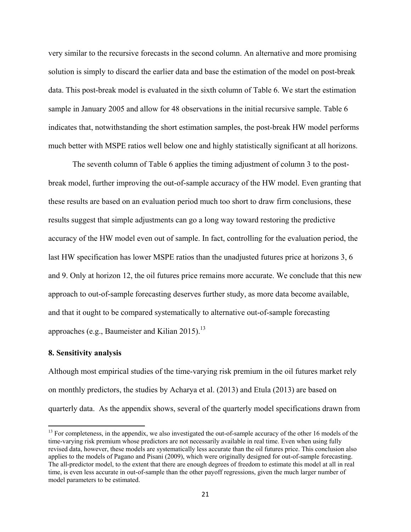very similar to the recursive forecasts in the second column. An alternative and more promising solution is simply to discard the earlier data and base the estimation of the model on post-break data. This post-break model is evaluated in the sixth column of Table 6. We start the estimation sample in January 2005 and allow for 48 observations in the initial recursive sample. Table 6 indicates that, notwithstanding the short estimation samples, the post-break HW model performs much better with MSPE ratios well below one and highly statistically significant at all horizons.

The seventh column of Table 6 applies the timing adjustment of column 3 to the postbreak model, further improving the out-of-sample accuracy of the HW model. Even granting that these results are based on an evaluation period much too short to draw firm conclusions, these results suggest that simple adjustments can go a long way toward restoring the predictive accuracy of the HW model even out of sample. In fact, controlling for the evaluation period, the last HW specification has lower MSPE ratios than the unadjusted futures price at horizons 3, 6 and 9. Only at horizon 12, the oil futures price remains more accurate. We conclude that this new approach to out-of-sample forecasting deserves further study, as more data become available, and that it ought to be compared systematically to alternative out-of-sample forecasting approaches (e.g., Baumeister and Kilian 2015).<sup>13</sup>

#### **8. Sensitivity analysis**

Although most empirical studies of the time-varying risk premium in the oil futures market rely on monthly predictors, the studies by Acharya et al. (2013) and Etula (2013) are based on quarterly data. As the appendix shows, several of the quarterly model specifications drawn from

<sup>&</sup>lt;sup>13</sup> For completeness, in the appendix, we also investigated the out-of-sample accuracy of the other 16 models of the time-varying risk premium whose predictors are not necessarily available in real time. Even when using fully revised data, however, these models are systematically less accurate than the oil futures price. This conclusion also applies to the models of Pagano and Pisani (2009), which were originally designed for out-of-sample forecasting. The all-predictor model, to the extent that there are enough degrees of freedom to estimate this model at all in real time, is even less accurate in out-of-sample than the other payoff regressions, given the much larger number of model parameters to be estimated.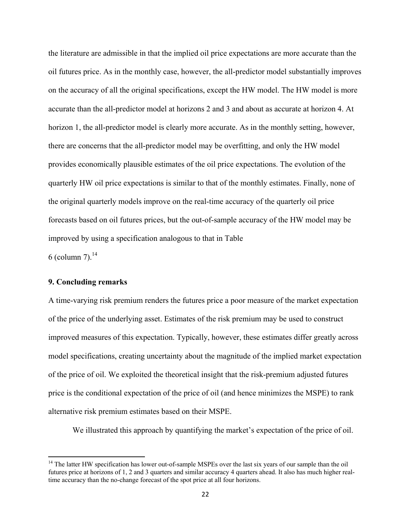the literature are admissible in that the implied oil price expectations are more accurate than the oil futures price. As in the monthly case, however, the all-predictor model substantially improves on the accuracy of all the original specifications, except the HW model. The HW model is more accurate than the all-predictor model at horizons 2 and 3 and about as accurate at horizon 4. At horizon 1, the all-predictor model is clearly more accurate. As in the monthly setting, however, there are concerns that the all-predictor model may be overfitting, and only the HW model provides economically plausible estimates of the oil price expectations. The evolution of the quarterly HW oil price expectations is similar to that of the monthly estimates. Finally, none of the original quarterly models improve on the real-time accuracy of the quarterly oil price forecasts based on oil futures prices, but the out-of-sample accuracy of the HW model may be improved by using a specification analogous to that in Table 6 (column 7).<sup>14</sup>

## **9. Concluding remarks**

A time-varying risk premium renders the futures price a poor measure of the market expectation of the price of the underlying asset. Estimates of the risk premium may be used to construct improved measures of this expectation. Typically, however, these estimates differ greatly across model specifications, creating uncertainty about the magnitude of the implied market expectation of the price of oil. We exploited the theoretical insight that the risk-premium adjusted futures price is the conditional expectation of the price of oil (and hence minimizes the MSPE) to rank alternative risk premium estimates based on their MSPE.

We illustrated this approach by quantifying the market's expectation of the price of oil.

<sup>&</sup>lt;sup>14</sup> The latter HW specification has lower out-of-sample MSPEs over the last six years of our sample than the oil futures price at horizons of 1, 2 and 3 quarters and similar accuracy 4 quarters ahead. It also has much higher realtime accuracy than the no-change forecast of the spot price at all four horizons.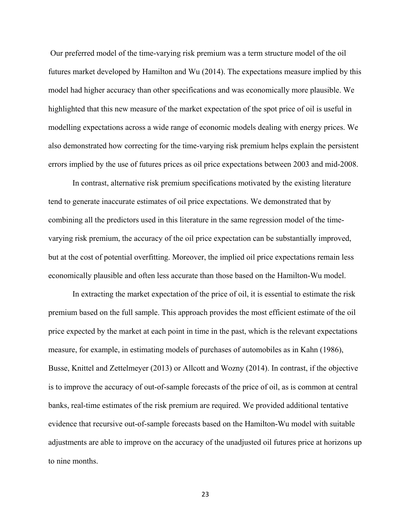Our preferred model of the time-varying risk premium was a term structure model of the oil futures market developed by Hamilton and Wu (2014). The expectations measure implied by this model had higher accuracy than other specifications and was economically more plausible. We highlighted that this new measure of the market expectation of the spot price of oil is useful in modelling expectations across a wide range of economic models dealing with energy prices. We also demonstrated how correcting for the time-varying risk premium helps explain the persistent errors implied by the use of futures prices as oil price expectations between 2003 and mid-2008.

 In contrast, alternative risk premium specifications motivated by the existing literature tend to generate inaccurate estimates of oil price expectations. We demonstrated that by combining all the predictors used in this literature in the same regression model of the timevarying risk premium, the accuracy of the oil price expectation can be substantially improved, but at the cost of potential overfitting. Moreover, the implied oil price expectations remain less economically plausible and often less accurate than those based on the Hamilton-Wu model.

In extracting the market expectation of the price of oil, it is essential to estimate the risk premium based on the full sample. This approach provides the most efficient estimate of the oil price expected by the market at each point in time in the past, which is the relevant expectations measure, for example, in estimating models of purchases of automobiles as in Kahn (1986), Busse, Knittel and Zettelmeyer (2013) or Allcott and Wozny (2014). In contrast, if the objective is to improve the accuracy of out-of-sample forecasts of the price of oil, as is common at central banks, real-time estimates of the risk premium are required. We provided additional tentative evidence that recursive out-of-sample forecasts based on the Hamilton-Wu model with suitable adjustments are able to improve on the accuracy of the unadjusted oil futures price at horizons up to nine months.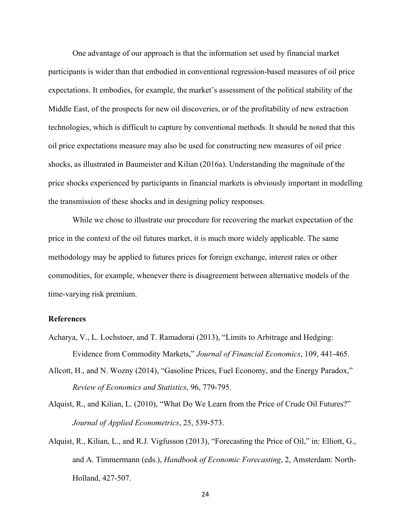One advantage of our approach is that the information set used by financial market participants is wider than that embodied in conventional regression-based measures of oil price expectations. It embodies, for example, the market's assessment of the political stability of the Middle East, of the prospects for new oil discoveries, or of the profitability of new extraction technologies, which is difficult to capture by conventional methods. It should be noted that this oil price expectations measure may also be used for constructing new measures of oil price shocks, as illustrated in Baumeister and Kilian (2016a). Understanding the magnitude of the price shocks experienced by participants in financial markets is obviously important in modelling the transmission of these shocks and in designing policy responses.

While we chose to illustrate our procedure for recovering the market expectation of the price in the context of the oil futures market, it is much more widely applicable. The same methodology may be applied to futures prices for foreign exchange, interest rates or other commodities, for example, whenever there is disagreement between alternative models of the time-varying risk premium.

# **References**

- Acharya, V., L. Lochstoer, and T. Ramadorai (2013), "Limits to Arbitrage and Hedging: Evidence from Commodity Markets," *Journal of Financial Economics*, 109, 441-465.
- Allcott, H., and N. Wozny (2014), "Gasoline Prices, Fuel Economy, and the Energy Paradox," *Review of Economics and Statistics*, 96, 779-795.
- Alquist, R., and Kilian, L. (2010), "What Do We Learn from the Price of Crude Oil Futures?" *Journal of Applied Econometrics*, 25, 539-573.
- Alquist, R., Kilian, L., and R.J. Vigfusson (2013), "Forecasting the Price of Oil," in: Elliott, G., and A. Timmermann (eds.), *Handbook of Economic Forecasting*, 2, Amsterdam: North- Holland, 427-507.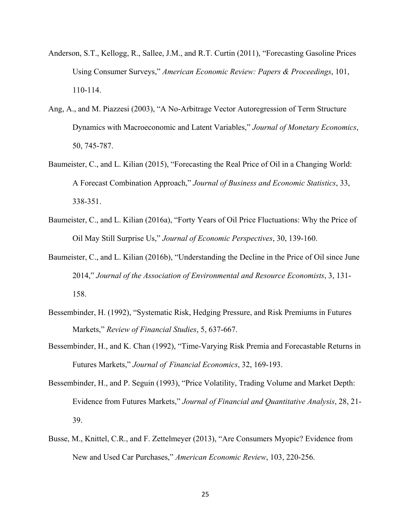- Anderson, S.T., Kellogg, R., Sallee, J.M., and R.T. Curtin (2011), "Forecasting Gasoline Prices Using Consumer Surveys," *American Economic Review: Papers & Proceedings*, 101, 110-114.
- Ang, A., and M. Piazzesi (2003), "A No-Arbitrage Vector Autoregression of Term Structure Dynamics with Macroeconomic and Latent Variables," *Journal of Monetary Economics*, 50, 745-787.
- Baumeister, C., and L. Kilian (2015), "Forecasting the Real Price of Oil in a Changing World: A Forecast Combination Approach," *Journal of Business and Economic Statistics*, 33, 338-351.
- Baumeister, C., and L. Kilian (2016a), "Forty Years of Oil Price Fluctuations: Why the Price of Oil May Still Surprise Us," *Journal of Economic Perspectives*, 30, 139-160.
- Baumeister, C., and L. Kilian (2016b), "Understanding the Decline in the Price of Oil since June 2014," *Journal of the Association of Environmental and Resource Economists*, 3, 131- 158.
- Bessembinder, H. (1992), "Systematic Risk, Hedging Pressure, and Risk Premiums in Futures Markets," *Review of Financial Studies*, 5, 637-667.
- Bessembinder, H., and K. Chan (1992), "Time-Varying Risk Premia and Forecastable Returns in Futures Markets," *Journal of Financial Economics*, 32, 169-193.
- Bessembinder, H., and P. Seguin (1993), "Price Volatility, Trading Volume and Market Depth: Evidence from Futures Markets," *Journal of Financial and Quantitative Analysis*, 28, 21- 39.
- Busse, M., Knittel, C.R., and F. Zettelmeyer (2013), "Are Consumers Myopic? Evidence from New and Used Car Purchases," *American Economic Review*, 103, 220-256.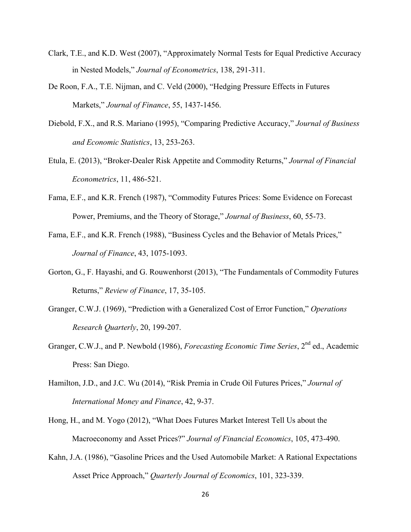- Clark, T.E., and K.D. West (2007), "Approximately Normal Tests for Equal Predictive Accuracy in Nested Models," *Journal of Econometrics*, 138, 291-311.
- De Roon, F.A., T.E. Nijman, and C. Veld (2000), "Hedging Pressure Effects in Futures Markets," *Journal of Finance*, 55, 1437-1456.
- Diebold, F.X., and R.S. Mariano (1995), "Comparing Predictive Accuracy," *Journal of Business and Economic Statistics*, 13, 253-263.
- Etula, E. (2013), "Broker-Dealer Risk Appetite and Commodity Returns," *Journal of Financial Econometrics*, 11, 486-521.
- Fama, E.F., and K.R. French (1987), "Commodity Futures Prices: Some Evidence on Forecast Power, Premiums, and the Theory of Storage," *Journal of Business*, 60, 55-73.
- Fama, E.F., and K.R. French (1988), "Business Cycles and the Behavior of Metals Prices," *Journal of Finance*, 43, 1075-1093.
- Gorton, G., F. Hayashi, and G. Rouwenhorst (2013), "The Fundamentals of Commodity Futures Returns," *Review of Finance*, 17, 35-105.
- Granger, C.W.J. (1969), "Prediction with a Generalized Cost of Error Function," *Operations Research Quarterly*, 20, 199-207.
- Granger, C.W.J., and P. Newbold (1986), *Forecasting Economic Time Series*, 2<sup>nd</sup> ed., Academic Press: San Diego.
- Hamilton, J.D., and J.C. Wu (2014), "Risk Premia in Crude Oil Futures Prices," *Journal of International Money and Finance*, 42, 9-37.
- Hong, H., and M. Yogo (2012), "What Does Futures Market Interest Tell Us about the Macroeconomy and Asset Prices?" *Journal of Financial Economics*, 105, 473-490.
- Kahn, J.A. (1986), "Gasoline Prices and the Used Automobile Market: A Rational Expectations Asset Price Approach," *Quarterly Journal of Economics*, 101, 323-339.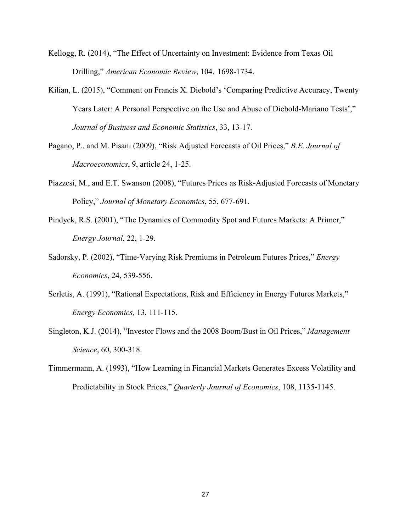- Kellogg, R. (2014), "The Effect of Uncertainty on Investment: Evidence from Texas Oil Drilling," *American Economic Review*, 104, 1698-1734.
- Kilian, L. (2015), "Comment on Francis X. Diebold's 'Comparing Predictive Accuracy, Twenty Years Later: A Personal Perspective on the Use and Abuse of Diebold-Mariano Tests'," *Journal of Business and Economic Statistics*, 33, 13-17.
- Pagano, P., and M. Pisani (2009), "Risk Adjusted Forecasts of Oil Prices," *B.E. Journal of Macroeconomics*, 9, article 24, 1-25.
- Piazzesi, M., and E.T. Swanson (2008), "Futures Prices as Risk-Adjusted Forecasts of Monetary Policy," *Journal of Monetary Economics*, 55, 677-691.
- Pindyck, R.S. (2001), "The Dynamics of Commodity Spot and Futures Markets: A Primer," *Energy Journal*, 22, 1-29.
- Sadorsky, P. (2002), "Time-Varying Risk Premiums in Petroleum Futures Prices," *Energy Economics*, 24, 539-556.
- Serletis, A. (1991), "Rational Expectations, Risk and Efficiency in Energy Futures Markets," *Energy Economics,* 13, 111-115.
- Singleton, K.J. (2014), "Investor Flows and the 2008 Boom/Bust in Oil Prices," *Management Science*, 60, 300-318.
- Timmermann, A. (1993), "How Learning in Financial Markets Generates Excess Volatility and Predictability in Stock Prices," *Quarterly Journal of Economics*, 108, 1135-1145.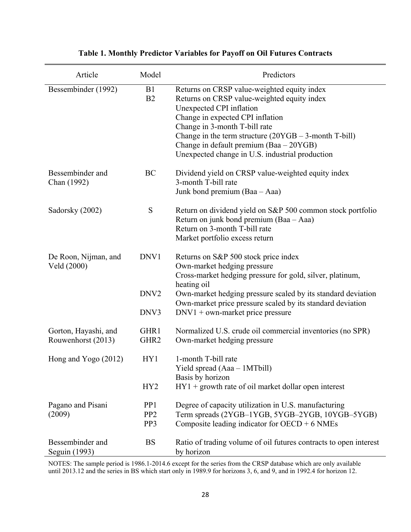| Article                                    | Model                                     | Predictors                                                                                                                                                                                                                                                                                                                                            |
|--------------------------------------------|-------------------------------------------|-------------------------------------------------------------------------------------------------------------------------------------------------------------------------------------------------------------------------------------------------------------------------------------------------------------------------------------------------------|
| Bessembinder (1992)                        | B1<br>B2                                  | Returns on CRSP value-weighted equity index<br>Returns on CRSP value-weighted equity index<br>Unexpected CPI inflation<br>Change in expected CPI inflation<br>Change in 3-month T-bill rate<br>Change in the term structure $(20YGB - 3$ -month T-bill)<br>Change in default premium (Baa - 20YGB)<br>Unexpected change in U.S. industrial production |
| Bessembinder and<br>Chan (1992)            | BC                                        | Dividend yield on CRSP value-weighted equity index<br>3-month T-bill rate<br>Junk bond premium (Baa – Aaa)                                                                                                                                                                                                                                            |
| Sadorsky (2002)                            | S                                         | Return on dividend yield on S&P 500 common stock portfolio<br>Return on junk bond premium (Baa – Aaa)<br>Return on 3-month T-bill rate<br>Market portfolio excess return                                                                                                                                                                              |
| De Roon, Nijman, and<br>Veld (2000)        | DNV1                                      | Returns on S&P 500 stock price index<br>Own-market hedging pressure<br>Cross-market hedging pressure for gold, silver, platinum,<br>heating oil                                                                                                                                                                                                       |
|                                            | DNV <sub>2</sub><br>DNV3                  | Own-market hedging pressure scaled by its standard deviation<br>Own-market price pressure scaled by its standard deviation<br>$DNV1 + own-market price pressure$                                                                                                                                                                                      |
| Gorton, Hayashi, and<br>Rouwenhorst (2013) | GHR1<br>GHR <sub>2</sub>                  | Normalized U.S. crude oil commercial inventories (no SPR)<br>Own-market hedging pressure                                                                                                                                                                                                                                                              |
| Hong and Yogo (2012)                       | HY1                                       | 1-month T-bill rate<br>Yield spread (Aaa - 1MTbill)<br>Basis by horizon                                                                                                                                                                                                                                                                               |
|                                            | HY <sub>2</sub>                           | $HY1 + growth$ rate of oil market dollar open interest                                                                                                                                                                                                                                                                                                |
| Pagano and Pisani<br>(2009)                | PP <sub>1</sub><br>PP <sub>2</sub><br>PP3 | Degree of capacity utilization in U.S. manufacturing<br>Term spreads (2YGB-1YGB, 5YGB-2YGB, 10YGB-5YGB)<br>Composite leading indicator for $OECD + 6$ NMEs                                                                                                                                                                                            |
| Bessembinder and<br>Seguin (1993)          | <b>BS</b>                                 | Ratio of trading volume of oil futures contracts to open interest<br>by horizon                                                                                                                                                                                                                                                                       |

# **Table 1. Monthly Predictor Variables for Payoff on Oil Futures Contracts**

NOTES: The sample period is 1986.1-2014.6 except for the series from the CRSP database which are only available until 2013.12 and the series in BS which start only in 1989.9 for horizons 3, 6, and 9, and in 1992.4 for horizon 12.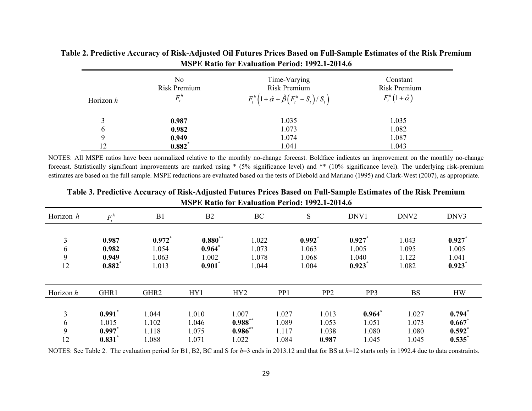| Horizon $h$ | No.<br><b>Risk Premium</b><br>$F_{\cdot}^{\prime}$ | Time-Varying<br><b>Risk Premium</b><br>$F_t^h\left(1+\hat{\alpha}+\hat{\beta}\left(F_t^h-S_t\right)/S_t\right)$ | Constant<br>Risk Premium<br>$F_t^h(1+\hat{\alpha})$ |
|-------------|----------------------------------------------------|-----------------------------------------------------------------------------------------------------------------|-----------------------------------------------------|
|             | 0.987                                              | 1.035                                                                                                           | 1.035                                               |
| b           | 0.982                                              | 1.073                                                                                                           | 1.082                                               |
| Q           | 0.949                                              | 1.074                                                                                                           | 1.087                                               |
| 12          | $0.882*$                                           | 1.041                                                                                                           | 1.043                                               |

**Table 2. Predictive Accuracy of Risk-Adjusted Oil Futures Prices Based on Full-Sample Estimates of the Risk Premium MSPE Ratio for Evaluation Period: 1992.1-2014.6** 

NOTES: All MSPE ratios have been normalized relative to the monthly no-change forecast. Boldface indicates an improvement on the monthly no-change forecast. Statistically significant improvements are marked using \* (5% significance level) and \*\* (10% significance level). The underlying risk-premium estimates are based on the full sample. MSPE reductions are evaluated based on the tests of Diebold and Mariano (1995) and Clark-West (2007), as appropriate.

| Horizon h         | $F_{i}^{h}$                                         | B <sub>1</sub>                   | B2                                       | BC                                       |                                  | S                                    | DNV1                                | DNV <sub>2</sub>                 | DNV3                                 |
|-------------------|-----------------------------------------------------|----------------------------------|------------------------------------------|------------------------------------------|----------------------------------|--------------------------------------|-------------------------------------|----------------------------------|--------------------------------------|
| 3<br>6<br>9<br>12 | 0.987<br>0.982<br>0.949<br>$0.882*$                 | 0.972<br>1.054<br>1.063<br>1.013 | $0.880**$<br>0.964<br>1.002<br>$0.901^*$ | 1.022<br>1.073<br>1.078<br>1.044         |                                  | $0.992^*$<br>1.063<br>1.068<br>1.004 | 0.927<br>1.005<br>1.040<br>0.923    | 1.043<br>1.095<br>1.122<br>1.082 | 0.927<br>1.005<br>1.041<br>0.923     |
| Horizon h         | GHR1                                                | GHR <sub>2</sub>                 | HY1                                      | HY <sub>2</sub>                          | PP <sub>1</sub>                  | PP <sub>2</sub>                      | PP3                                 | <b>BS</b>                        | <b>HW</b>                            |
| 3<br>6<br>9<br>12 | $0.991$ <sup>*</sup><br>1.015<br>$0.997$ *<br>0.831 | 1.044<br>1.102<br>1.118<br>1.088 | 1.010<br>1.046<br>1.075<br>1.071         | 1.007<br>$0.988**$<br>$0.986**$<br>1.022 | 1.027<br>1.089<br>1.117<br>1.084 | 1.013<br>1.053<br>1.038<br>0.987     | $0.964*$<br>1.051<br>1.080<br>1.045 | 1.027<br>1.073<br>1.080<br>1.045 | 0.794<br>0.667<br>$0.592^*$<br>0.535 |

**Table 3. Predictive Accuracy of Risk-Adjusted Futures Prices Based on Full-Sample Estimates of the Risk Premium MSPE Ratio for Evaluation Period: 1992.1-2014.6** 

NOTES: See Table 2. The evaluation period for B1, B2, BC and S for *h*=3 ends in 2013.12 and that for BS at *h*=12 starts only in 1992.4 due to data constraints.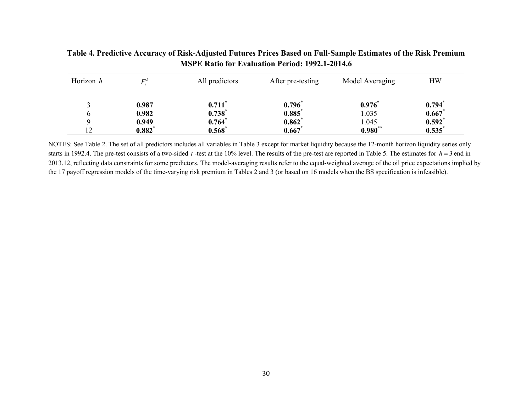| Horizon h | $E^h$          | All predictors                      | After pre-testing | Model Averaging | <b>HW</b>      |
|-----------|----------------|-------------------------------------|-------------------|-----------------|----------------|
|           | 0.987<br>0.982 | $0.711$ <sup>*</sup><br>$0.738^{*}$ | 0.796<br>0.885    | 0.976<br>1.035  | 0.794<br>0.667 |
|           | 0.949          | $0.764*$                            | $0.862^*$         | 1.045           | $0.592^*$      |
| ຳ         | $0.882*$       | $0.568^*$                           | 0.667             | $0.980**$       | 0.535          |

**Table 4. Predictive Accuracy of Risk-Adjusted Futures Prices Based on Full-Sample Estimates of the Risk Premium MSPE Ratio for Evaluation Period: 1992.1-2014.6** 

NOTES: See Table 2. The set of all predictors includes all variables in Table 3 except for market liquidity because the 12-month horizon liquidity series only starts in 1992.4. The pre-test consists of a two-sided  $t$ -test at the 10% level. The results of the pre-test are reported in Table 5. The estimates for  $h = 3$  end in 2013.12, reflecting data constraints for some predictors. The model-averaging results refer to the equal-weighted average of the oil price expectations implied by the 17 payoff regression models of the time-varying risk premium in Tables 2 and 3 (or based on 16 models when the BS specification is infeasible).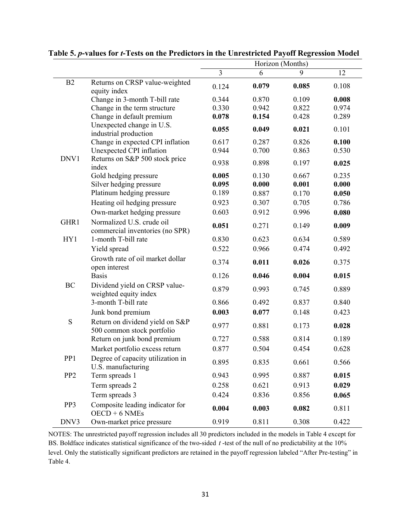|                 |                                                               | Horizon (Months) |       |       |       |
|-----------------|---------------------------------------------------------------|------------------|-------|-------|-------|
|                 |                                                               | 3                | 6     | 9     | 12    |
| B2              | Returns on CRSP value-weighted<br>equity index                | 0.124            | 0.079 | 0.085 | 0.108 |
|                 | Change in 3-month T-bill rate                                 | 0.344            | 0.870 | 0.109 | 0.008 |
|                 | Change in the term structure                                  | 0.330            | 0.942 | 0.822 | 0.974 |
|                 | Change in default premium                                     | 0.078            | 0.154 | 0.428 | 0.289 |
|                 | Unexpected change in U.S.<br>industrial production            | 0.055            | 0.049 | 0.021 | 0.101 |
|                 | Change in expected CPI inflation                              | 0.617            | 0.287 | 0.826 | 0.100 |
|                 | Unexpected CPI inflation                                      | 0.944            | 0.700 | 0.863 | 0.530 |
| DNV1            | Returns on S&P 500 stock price<br>index                       | 0.938            | 0.898 | 0.197 | 0.025 |
|                 | Gold hedging pressure                                         | 0.005            | 0.130 | 0.667 | 0.235 |
|                 | Silver hedging pressure                                       | 0.095            | 0.000 | 0.001 | 0.000 |
|                 | Platinum hedging pressure                                     | 0.189            | 0.887 | 0.170 | 0.050 |
|                 | Heating oil hedging pressure                                  | 0.923            | 0.307 | 0.705 | 0.786 |
|                 | Own-market hedging pressure                                   | 0.603            | 0.912 | 0.996 | 0.080 |
| GHR1            | Normalized U.S. crude oil<br>commercial inventories (no SPR)  | 0.051            | 0.271 | 0.149 | 0.009 |
| HY1             | 1-month T-bill rate                                           | 0.830            | 0.623 | 0.634 | 0.589 |
|                 | Yield spread                                                  | 0.522            | 0.966 | 0.474 | 0.492 |
|                 | Growth rate of oil market dollar<br>open interest             | 0.374            | 0.011 | 0.026 | 0.375 |
|                 | <b>Basis</b>                                                  | 0.126            | 0.046 | 0.004 | 0.015 |
| <b>BC</b>       | Dividend yield on CRSP value-<br>weighted equity index        | 0.879            | 0.993 | 0.745 | 0.889 |
|                 | 3-month T-bill rate                                           | 0.866            | 0.492 | 0.837 | 0.840 |
|                 | Junk bond premium                                             | 0.003            | 0.077 | 0.148 | 0.423 |
| S               | Return on dividend yield on S&P<br>500 common stock portfolio | 0.977            | 0.881 | 0.173 | 0.028 |
|                 | Return on junk bond premium                                   | 0.727            | 0.588 | 0.814 | 0.189 |
|                 | Market portfolio excess return                                | 0.877            | 0.504 | 0.454 | 0.628 |
| PP <sub>1</sub> | Degree of capacity utilization in<br>U.S. manufacturing       | 0.895            | 0.835 | 0.661 | 0.566 |
| PP <sub>2</sub> | Term spreads 1                                                | 0.943            | 0.995 | 0.887 | 0.015 |
|                 | Term spreads 2                                                | 0.258            | 0.621 | 0.913 | 0.029 |
|                 | Term spreads 3                                                | 0.424            | 0.836 | 0.856 | 0.065 |
| PP3             | Composite leading indicator for<br>$OECD + 6$ NMEs            | 0.004            | 0.003 | 0.082 | 0.811 |
| DNV3            | Own-market price pressure                                     | 0.919            | 0.811 | 0.308 | 0.422 |

**Table 5.** *p***-values for** *t***-Tests on the Predictors in the Unrestricted Payoff Regression Model** 

NOTES: The unrestricted payoff regression includes all 30 predictors included in the models in Table 4 except for BS. Boldface indicates statistical significance of the two-sided *t* -test of the null of no predictability at the 10% level. Only the statistically significant predictors are retained in the payoff regression labeled "After Pre-testing" in Table 4.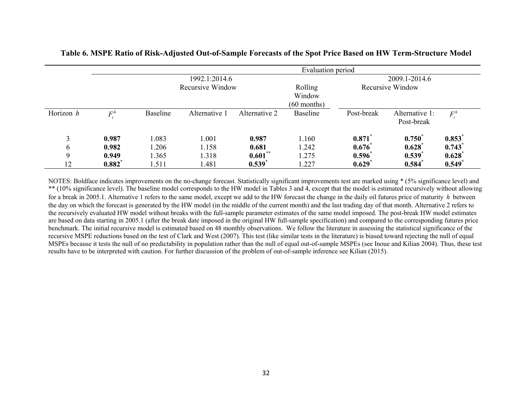|           | Evaluation period    |                  |               |               |                                    |                      |                              |                      |  |
|-----------|----------------------|------------------|---------------|---------------|------------------------------------|----------------------|------------------------------|----------------------|--|
|           |                      |                  | 1992.1:2014.6 |               |                                    |                      | 2009.1-2014.6                |                      |  |
|           |                      | Recursive Window |               |               | Rolling<br>Window<br>$(60$ months) | Recursive Window     |                              |                      |  |
| Horizon h | $F_{\cdot}^{\,h}$    | <b>Baseline</b>  | Alternative 1 | Alternative 2 | <b>Baseline</b>                    | Post-break           | Alternative 1:<br>Post-break | $F_{\cdot}^h$        |  |
| 3         | 0.987                | .083             | 1.001         | 0.987         | 1.160                              | 0.871                | $0.750^{*}$                  | 0.853                |  |
| 6         | 0.982                | 1.206            | 1.158         | 0.681         | 1.242                              | $0.676^*$            | $0.628^{*}$                  | 0.743                |  |
| 9         | 0.949                | 1.365            | 1.318         | $0.601***$    | 1.275                              | $0.596^*$            | 0.539'                       | $0.628^*$            |  |
| 12        | $0.882$ <sup>*</sup> | .511             | 1.481         | 0.539         | 1.227                              | $0.629$ <sup>*</sup> | 0.584                        | $0.549$ <sup>*</sup> |  |

# **Table 6. MSPE Ratio of Risk-Adjusted Out-of-Sample Forecasts of the Spot Price Based on HW Term-Structure Model**

NOTES: Boldface indicates improvements on the no-change forecast. Statistically significant improvements test are marked using \* (5% significance level) and \*\* (10% significance level). The baseline model corresponds to the HW model in Tables 3 and 4, except that the model is estimated recursively without allowing for a break in 2005.1. Alternative 1 refers to the same model, except we add to the HW forecast the change in the daily oil futures price of maturity *h* between the day on which the forecast is generated by the HW model (in the middle of the current month) and the last trading day of that month. Alternative 2 refers to the recursively evaluated HW model without breaks with the full-sample parameter estimates of the same model imposed. The post-break HW model estimates are based on data starting in 2005.1 (after the break date imposed in the original HW full-sample specification) and compared to the corresponding futures price benchmark. The initial recursive model is estimated based on 48 monthly observations. We follow the literature in assessing the statistical significance of the recursive MSPE reductions based on the test of Clark and West (2007). This test (like similar tests in the literature) is biased toward rejecting the null of equal MSPEs because it tests the null of no predictability in population rather than the null of equal out-of-sample MSPEs (see Inoue and Kilian 2004). Thus, these test results have to be interpreted with caution. For further discussion of the problem of out-of-sample inference see Kilian (2015).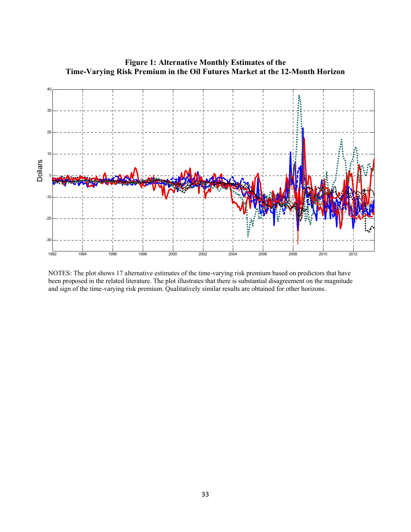

**Figure 1: Alternative Monthly Estimates of the Time-Varying Risk Premium in the Oil Futures Market at the 12-Month Horizon** 

NOTES: The plot shows 17 alternative estimates of the time-varying risk premium based on predictors that have been proposed in the related literature. The plot illustrates that there is substantial disagreement on the magnitude and sign of the time-varying risk premium. Qualitatively similar results are obtained for other horizons.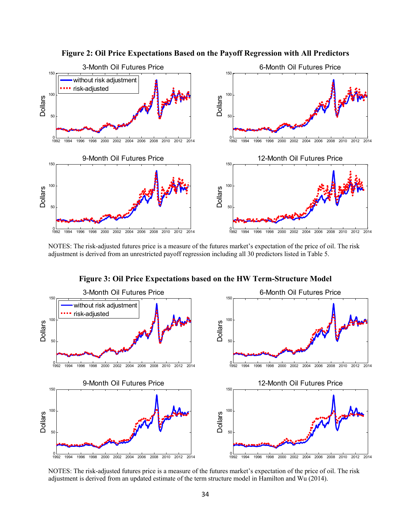

**Figure 2: Oil Price Expectations Based on the Payoff Regression with All Predictors** 

NOTES: The risk-adjusted futures price is a measure of the futures market's expectation of the price of oil. The risk adjustment is derived from an unrestricted payoff regression including all 30 predictors listed in Table 5.

0<br>1992 1994 1996 1998 2000 2002 2004 2006 2008 2010 2012 2014 50 100 150 3-Month Oil Futures Price Dollars without risk adjustment risk-adjusted <sup>1992</sup> <sup>1994</sup> <sup>1996</sup> <sup>1998</sup> <sup>2000</sup> <sup>2002</sup> <sup>2004</sup> <sup>2006</sup> <sup>2008</sup> <sup>2010</sup> <sup>2012</sup> <sup>2014</sup> <sup>0</sup> 50 100 150 6-Month Oil Futures Price Dollars <sup>1992</sup> <sup>1994</sup> <sup>1996</sup> <sup>1998</sup> <sup>2000</sup> <sup>2002</sup> <sup>2004</sup> <sup>2006</sup> <sup>2008</sup> <sup>2010</sup> <sup>2012</sup> <sup>2014</sup> <sup>0</sup> 50 100 150 9-Month Oil Futures Price Dollars <sup>1992</sup> <sup>1994</sup> <sup>1996</sup> <sup>1998</sup> <sup>2000</sup> <sup>2002</sup> <sup>2004</sup> <sup>2006</sup> <sup>2008</sup> <sup>2010</sup> <sup>2012</sup> <sup>2014</sup> <sup>0</sup> 50 100 150 12-Month Oil Futures Price Dollars

**Figure 3: Oil Price Expectations based on the HW Term-Structure Model** 

NOTES: The risk-adjusted futures price is a measure of the futures market's expectation of the price of oil. The risk adjustment is derived from an updated estimate of the term structure model in Hamilton and Wu (2014).